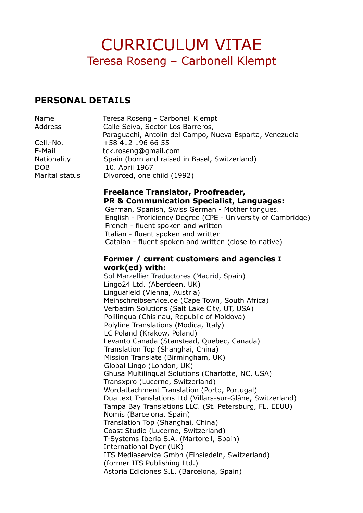# **PERSONAL DETAILS**

| Name               | Teresa Roseng - Carbonell Klempt                        |
|--------------------|---------------------------------------------------------|
| Address            | Calle Seiva, Sector Los Barreros,                       |
|                    | Paraguachi, Antolin del Campo, Nueva Esparta, Venezuela |
| Cell.-No.          | +58 412 196 66 55                                       |
| E-Mail             | tck.roseng@gmail.com                                    |
| <b>Nationality</b> | Spain (born and raised in Basel, Switzerland)           |
| <b>DOB</b>         | 10. April 1967                                          |
| Marital status     | Divorced, one child (1992)                              |
|                    | Freelance Translator, Proofreader,                      |

**PR & Communication Specialist, Languages:** German, Spanish, Swiss German - Mother tongues. English - Proficiency Degree (CPE - University of Cambridge) French - fluent spoken and written Italian - fluent spoken and written Catalan - fluent spoken and written (close to native)

## **Former / current customers and agencies I work(ed) with:**

Sol Marzellier Traductores (Madrid, Spain) Lingo24 Ltd. (Aberdeen, UK) Linguafield (Vienna, Austria) Meinschreibservice.de (Cape Town, South Africa) Verbatim Solutions (Salt Lake City, UT, USA) Polilingua (Chisinau, Republic of Moldova) Polyline Translations (Modica, Italy) LC Poland (Krakow, Poland) Levanto Canada (Stanstead, Quebec, Canada) Translation Top (Shanghai, China) Mission Translate (Birmingham, UK) Global Lingo (London, UK) Ghusa Multilingual Solutions (Charlotte, NC, USA) Transxpro (Lucerne, Switzerland) Wordattachment Translation (Porto, Portugal) Dualtext Translations Ltd (Villars-sur-Glâne, Switzerland) Tampa Bay Translations LLC. (St. Petersburg, FL, EEUU) Nomis (Barcelona, Spain) Translation Top (Shanghai, China) Coast Studio (Lucerne, Switzerland) T-Systems Iberia S.A. (Martorell, Spain) International Dyer (UK) ITS Mediaservice Gmbh (Einsiedeln, Switzerland) (former ITS Publishing Ltd.) Astoria Ediciones S.L. (Barcelona, Spain)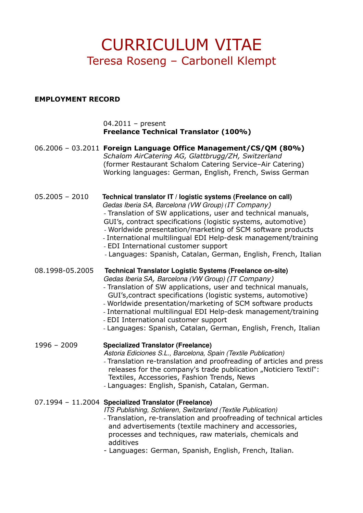### **EMPLOYMENT RECORD**

04.2011 – present **Freelance Technical Translator (100%)**

06.2006 – 03.2011 **Foreign Language Office Management/CS/QM (80%)** *Schalom AirCatering AG, Glattbrugg/ZH, Switzerland* (former Restaurant Schalom Catering Service–Air Catering) Working languages: German, English, French, Swiss German

- 05.2005 2010 **Technical translator IT / logistic systems (Freelance on call)** Gedas Iberia SA, Barcelona (VW Group) *(IT Company)* - Translation of SW applications, user and technical manuals, GUI's, contract specifications (logistic systems, automotive) - Worldwide presentation/marketing of SCM software products
	- International multilingual EDI Help-desk management/training
	- EDI International customer support
	- Languages: Spanish, Catalan, German, English, French, Italian

08.1998-05.2005 **Technical Translator Logistic Systems (Freelance on-site)** Gedas Iberia *SA,* Barcelona (VW Group) *(IT Company)*

- Translation of SW applications, user and technical manuals, GUI's,contract specifications (logistic systems, automotive)
- Worldwide presentation/marketing of SCM software products
- International multilingual EDI Help-desk management/training
- EDI International customer support
- Languages: Spanish, Catalan, German, English, French, Italian

1996 – 2009 **Specialized Translator (Freelance)**

Astoria Ediciones S.L., Barcelona, Spain (Textile Publication)

- Translation re-translation and proofreading of articles and press releases for the company's trade publication "Noticiero Textil": Textiles, Accessories, Fashion Trends, News
- Languages: English, Spanish, Catalan, German.

### 07.1994 – 11.2004 **Specialized Translator (Freelance)**

ITS Publishing, Schlieren, Switzerland (Textile Publication)

- Translation, re-translation and proofreading of technical articles and advertisements (textile machinery and accessories, processes and techniques, raw materials, chemicals and additives
- Languages: German, Spanish, English, French, Italian.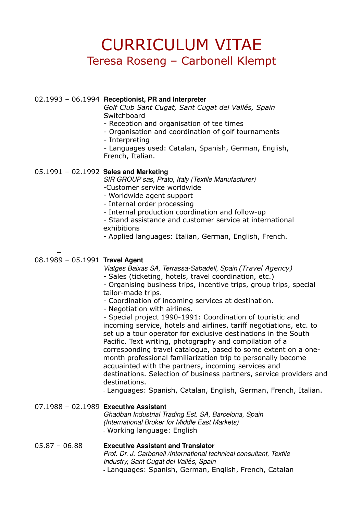#### 02.1993 – 06.1994 **Receptionist, PR and Interpreter**

*Golf Club Sant Cugat, Sant Cugat del Vallés, Spain* **Switchboard** 

- Reception and organisation of tee times
- Organisation and coordination of golf tournaments
- Interpreting

- Languages used: Catalan, Spanish, German, English, French, Italian.

### 05.1991 – 02.1992 **Sales and Marketing**

SIR GROUP sas, Prato, Italy (Textile Manufacturer) -Customer service worldwide

- Worldwide agent support

- Internal order processing

- Internal production coordination and follow-up

- Stand assistance and customer service at international exhibitions

- Applied languages: Italian, German, English, French.

#### 08.1989 – 05.1991 **Travel Agent**

−

Viatges Baixas SA, Terrassa-Sabadell, Spain *(Travel Agency)*

- Sales (ticketing, hotels, travel coordination, etc.)

- Organising business trips, incentive trips, group trips, special tailor-made trips.

- Coordination of incoming services at destination.

- Negotiation with airlines.

- Special project 1990-1991: Coordination of touristic and incoming service, hotels and airlines, tariff negotiations, etc. to set up a tour operator for exclusive destinations in the South Pacific. Text writing, photography and compilation of a corresponding travel catalogue, based to some extent on a onemonth professional familiarization trip to personally become acquainted with the partners, incoming services and destinations. Selection of business partners, service providers and destinations.

- Languages: Spanish, Catalan, English, German, French, Italian.

#### 07.1988 – 02.1989 **Executive Assistant**

Ghadban Industrial Trading Est. SA, Barcelona, Spain (International Broker for Middle East Markets) - Working language: English

#### 05.87 – 06.88 **Executive Assistant and Translator** Prof. Dr. J. Carbonell /International technical consultant, Textile Industry, Sant Cugat del Vall*é*s, Spain - Languages: Spanish, German, English, French, Catalan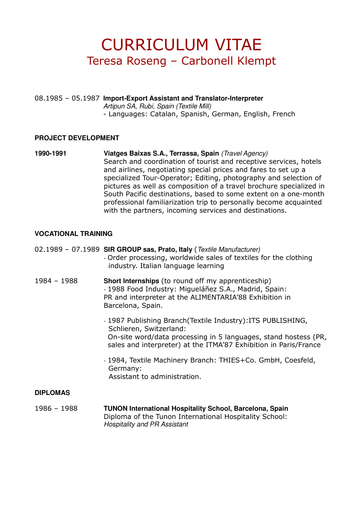08.1985 – 05.1987 **Import-Export Assistant and Translator-Interpreter** Artipun SA, Rubi, Spain (Textile Mill) - Languages: Catalan, Spanish, German, English, French

### **PROJECT DEVELOPMENT**

**1990-1991 Viatges Baixas S.A., Terrassa, Spain** (Travel Agency) Search and coordination of tourist and receptive services, hotels and airlines, negotiating special prices and fares to set up a specialized Tour-Operator; Editing, photography and selection of pictures as well as composition of a travel brochure specialized in South Pacific destinations, based to some extent on a one-month professional familiarization trip to personally become acquainted with the partners, incoming services and destinations.

### **VOCATIONAL TRAINING**

#### 02.1989 – 07.1989 **SIR GROUP sas, Prato, Italy** (Textile Manufacturer)

- Order processing, worldwide sales of textiles for the clothing industry. Italian language learning
- 1984 1988 **Short Internships** (to round off my apprenticeship) - 1988 Food Industry: Migueláñez S.A., Madrid, Spain: PR and interpreter at the ALIMENTARIA'88 Exhibition in Barcelona, Spain.
	- 1987 Publishing Branch(Textile Industry):ITS PUBLISHING, Schlieren, Switzerland: On-site word/data processing in 5 languages, stand hostess (PR, sales and interpreter) at the ITMA'87 Exhibition in Paris/France
	- 1984, Textile Machinery Branch: THIES+Co. GmbH, Coesfeld, Germany: Assistant to administration.

### **DIPLOMAS**

1986 – 1988 **TUNON International Hospitality School, Barcelona, Spain** Diploma of the Tunon International Hospitality School: Hospitality and PR Assistant